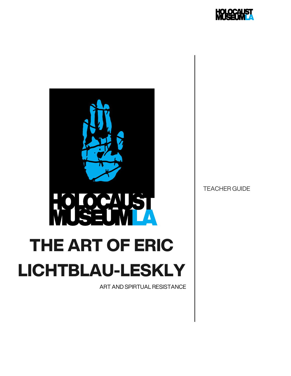



ART AND SPIRTUAL RESISTANCE

TEACHER GUIDE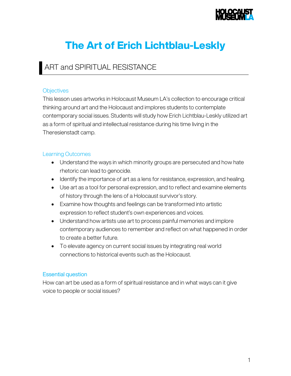

# The Art of Erich Lichtblau-Leskly

### ART and SPIRITUAL RESISTANCE

#### **Objectives**

This lesson uses artworks in Holocaust Museum LA's collection to encourage critical thinking around art and the Holocaust and implores students to contemplate contemporary social issues. Students will study how Erich Lichtblau-Leskly utilized art as a form of spiritual and intellectual resistance during his time living in the Theresienstadt camp.

#### Learning Outcomes

- Understand the ways in which minority groups are persecuted and how hate rhetoric can lead to genocide.
- Identify the importance of art as a lens for resistance, expression, and healing.
- Use art as a tool for personal expression, and to reflect and examine elements of history through the lens of a Holocaust survivor's story.
- Examine how thoughts and feelings can be transformed into artistic expression to reflect student's own experiences and voices.
- Understand how artists use art to process painful memories and implore contemporary audiences to remember and reflect on what happened in order to create a better future.
- To elevate agency on current social issues by integrating real world connections to historical events such as the Holocaust.

#### Essential question

How can art be used as a form of spiritual resistance and in what ways can it give voice to people or social issues?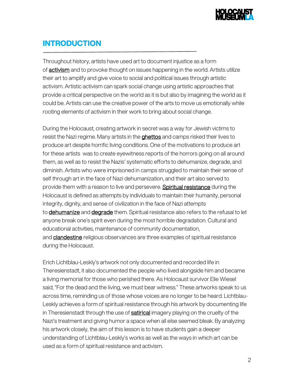

### INTRODUCTION

Throughout history, artists have used art to document injustice as a form of **activism** and to provoke thought on issues happening in the world. Artists utilize their art to amplify and give voice to social and political issues through artistic activism. Artistic activism can spark social change using artistic approaches that provide a critical perspective on the world as it is but also by imagining the world as it could be. Artists can use the creative power of the arts to move us emotionally while rooting elements of activism in their work to bring about social change.

During the Holocaust, creating artwork in secret was a way for Jewish victims to resist the Nazi regime. Many artists in the **ghettos** and camps risked their lives to produce art despite horrific living conditions. One of the motivations to produce art for these artists was to create eyewitness reports of the horrors going on all around them, as well as to resist the Nazis' systematic efforts to dehumanize, degrade, and diminish. Artists who were imprisoned in camps struggled to maintain their sense of self through art in the face of Nazi dehumanization, and their art also served to provide them with a reason to live and persevere. Spiritual resistance during the Holocaust is defined as attempts by individuals to maintain their humanity, personal integrity, dignity, and sense of civilization in the face of Nazi attempts to **dehumanize** and **degrade** them. Spiritual resistance also refers to the refusal to let anyone break one's spirit even during the most horrible degradation. Cultural and educational activities, maintenance of community documentation, and **clandestine** religious observances are three examples of spiritual resistance during the Holocaust.

Erich Lichtblau-Leskly's artwork not only documented and recorded life in Theresienstadt, it also documented the people who lived alongside him and became a living memorial for those who perished there. As Holocaust survivor Elie Wiesel said, "For the dead and the living, we must bear witness." These artworks speak to us across time, reminding us of those whose voices are no longer to be heard. Lichtblau-Leskly achieves a form of spiritual resistance through his artwork by documenting life in Theresienstadt through the use of **satirical** imagery playing on the cruelty of the Nazi's treatment and giving humor a space when all else seemed bleak. By analyzing his artwork closely, the aim of this lesson is to have students gain a deeper understanding of Lichtblau-Leskly's works as well as the ways in which art can be used as a form of spiritual resistance and activism.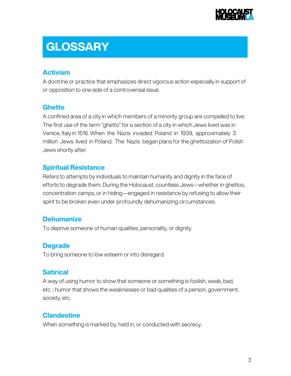

# **GLOSSARY**

### Activism

A doctrine or practice that emphasizes direct vigorous action especially in support of or opposition to one side of a controversial issue.

#### **Ghetto**

A confined area of a city in which members of a minority group are compelled to live. The first use of the term "ghetto" for a section of a city in which Jews lived was in Venice, Italy in 1516. When the Nazis invaded Poland in 1939, approximately 3 million Jews lived in Poland. The Nazis began plans for the ghettoization of Polish Jews shortly after.

#### Spiritual Resistance

Refers to attempts by individuals to maintain humanity and dignity in the face of efforts to degrade them. During the Holocaust, countless Jews—whether in ghettos, concentration camps, or in hiding—engaged in resistance by refusing to allow their spirit to be broken even under profoundly dehumanizing circumstances.

#### **Dehumanize**

To deprive someone of human qualities, personality, or dignity.

### **Degrade**

To bring someone to low esteem or into disregard.

#### **Satirical**

A way of using humor to show that someone or something is foolish, weak, bad, etc. : humor that shows the weaknesses or bad qualities of a person, government, society, etc.

### **Clandestine**

When something is marked by, held in, or conducted with secrecy.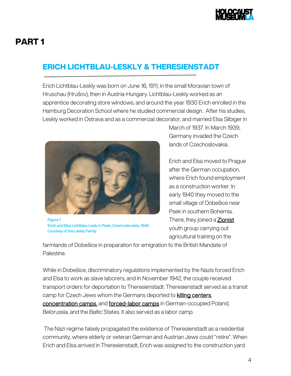

## PART 1

### ERICH LICHTBLAU-LESKLY & THERESIENSTADT

Erich Lichtblau-Leskly was born on June 16, 1911, in the small Moravian town of Hruschau (Hrušov), then in Austria-Hungary. Lichtblau-Leskly worked as an apprentice decorating store windows, and around the year 1930 Erich enrolled in the Hamburg Decoration School where he studied commercial design. After his studies, Leskly worked in Ostrava and as a commercial decorator, and married Elsa Silbiger in



Figure 1 Erich and Elsa Lichtblau-Lesly in Písek, Czechoslovakia, 1940. Courtesy of the Leskly Family

March of 1937. In March 1939, Germany invaded the Czech lands of Czechoslovakia.

Erich and Elsa moved to Prague after the German occupation, where Erich found employment as a construction worker. In early 1940 they moved to the small village of Dobešice near Psek in southern Bohemia. There, they joined a **Zionist** youth group carrying out agricultural training on the

farmlands of Dobešice in preparation for emigration to the British Mandate of Palestine.

While in Dobešice, discriminatory regulations implemented by the Nazis forced Erich and Elsa to work as slave laborers, and In November 1942, the couple received transport orders for deportation to Theresienstadt. Theresienstadt served as a transit camp for Czech Jews whom the Germans deported to **killing centers**, concentration camps, and forced-labor camps in German-occupied Poland, Belorussia, and the Baltic States. It also served as a labor camp.

The Nazi regime falsely propagated the existence of Theresienstadt as a residential community, where elderly or veteran German and Austrian Jews could "retire". When Erich and Elsa arrived in Theresienstadt, Erich was assigned to the construction yard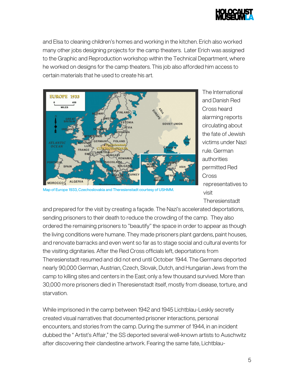

and Elsa to cleaning children's homes and working in the kitchen. Erich also worked many other jobs designing projects for the camp theaters. Later Erich was assigned to the Graphic and Reproduction workshop within the Technical Department, where he worked on designs for the camp theaters. This job also afforded him access to certain materials that he used to create his art.



Map of Europe 1933, Czechoslovakia and Theresienstadt courtesy of USHMM.

The International and Danish Red Cross heard alarming reports circulating about the fate of Jewish victims under Nazi rule. German authorities permitted Red Cross representatives to visit **Theresienstadt** 

and prepared for the visit by creating a façade. The Nazi's accelerated deportations, sending prisoners to their death to reduce the crowding of the camp. They also ordered the remaining prisoners to "beautify" the space in order to appear as though the living conditions were humane. They made prisoners plant gardens, paint houses, and renovate barracks and even went so far as to stage social and cultural events for the visiting dignitaries. After the Red Cross officials left, deportations from Theresienstadt resumed and did not end until October 1944. The Germans deported nearly 90,000 German, Austrian, Czech, Slovak, Dutch, and Hungarian Jews from the camp to killing sites and centers in the East; only a few thousand survived. More than 30,000 more prisoners died in Theresienstadt itself, mostly from disease, torture, and starvation.

While imprisoned in the camp between 1942 and 1945 Lichtblau-Leskly secretly created visual narratives that documented prisoner interactions, personal encounters, and stories from the camp. During the summer of 1944, in an incident dubbed the " Artist's Affair," the SS deported several well-known artists to Auschwitz after discovering their clandestine artwork. Fearing the same fate, Lichtblau-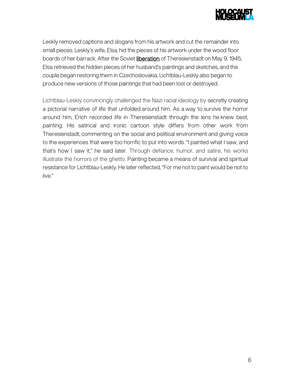

Leskly removed captions and slogans from his artwork and cut the remainder into small pieces. Leskly's wife, Elsa, hid the pieces of his artwork under the wood floor boards of her barrack. After the Soviet liberation of Theresienstadt on May 9, 1945, Elsa retrieved the hidden pieces of her husband's paintings and sketches, and the couple began restoring them in Czechoslovakia. Lichtblau-Leskly also began to produce new versions of those paintings that had been lost or destroyed.

Lichtblau-Leskly convincingly challenged the Nazi racial ideology by secretly creating a pictorial narrative of life that unfolded around him. As a way to survive the horror around him, Erich recorded life in Theresienstadt through the lens he knew best, painting. His satirical and ironic cartoon style differs from other work from Theresienstadt, commenting on the social and political environment and giving voice to the experiences that were too horrific to put into words. "I painted what I saw, and that's how I saw it," he said later. Through defiance, humor, and satire, his works illustrate the horrors of the ghetto. Painting became a means of survival and spiritual resistance for Lichtblau-Leskly. He later reflected, "For me not to paint would be not to live."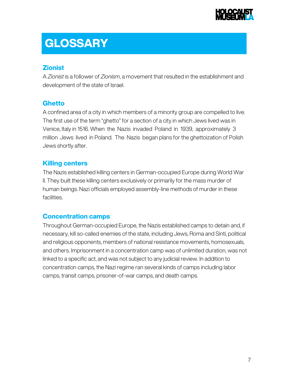

# **GLOSSARY**

#### **Zionist**

A *Zionist* is a follower of *Zionism*, a movement that resulted in the establishment and development of the state of Israel.

#### **Ghetto**

A confined area of a city in which members of a minority group are compelled to live. The first use of the term "ghetto" for a section of a city in which Jews lived was in Venice, Italy in 1516. When the Nazis invaded Poland in 1939, approximately 3 million Jews lived in Poland. The Nazis began plans for the ghettoization of Polish Jews shortly after.

#### Killing centers

The Nazis established killing centers in German-occupied Europe during World War II. They built these killing centers exclusively or primarily for the mass murder of human beings. Nazi officials employed assembly-line methods of murder in these facilities.

### Concentration camps

Throughout German-occupied Europe, the Nazis established camps to detain and, if necessary, kill so-called enemies of the state, including Jews, Roma and Sinti, political and religious opponents, members of national resistance movements, homosexuals, and others. Imprisonment in a concentration camp was of unlimited duration, was not linked to a specific act, and was not subject to any judicial review. In addition to concentration camps, the Nazi regime ran several kinds of camps including labor camps, transit camps, prisoner-of-war camps, and death camps.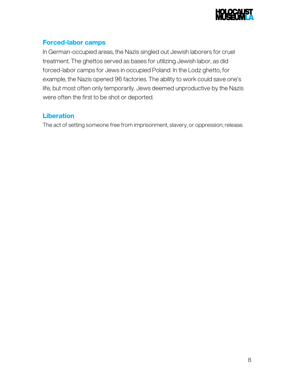

### Forced-labor camps

In German-occupied areas, the Nazis singled out Jewish laborers for cruel treatment. The ghettos served as bases for utilizing Jewish labor, as did forced-labor camps for Jews in occupied Poland. In the Lodz ghetto, for example, the Nazis opened 96 factories. The ability to work could save one's life, but most often only temporarily. Jews deemed unproductive by the Nazis were often the first to be shot or deported.

#### **Liberation**

The act of setting someone free from imprisonment, slavery, or oppression; release.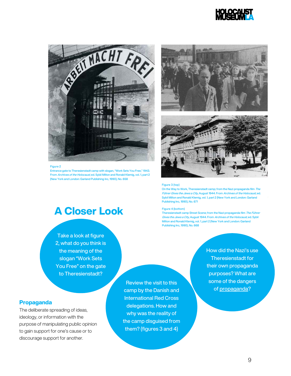



#### Figure 2

Entrance gate to Theresienstadt camp with slogan, "Work Sets You Free," 1943. From Archives of the Holocaust, ed. Sybil Milton and Ronald Klemig, vol. 1, part 2 (New York and London: Garland Publishing Inc, 1990), No. 658





#### Figure 3 (top)

On the Way to Work, Theresienstadt camp; from the Nazi propaganda film The Führer Gives the Jews a City, August 1944. From Archives of the Holocaust, ed. Sybil Milton and Ronald Klemig, vol. 1, part 2 (New York and London: Garland Publishing Inc, 1990), No. 671

#### Figure 4 (bottom)

Theresienstadt camp Street Scene; from the Nazi propaganda film The Führer Gives the Jews a City, August 1944. From Archives of the Holocaust, ed. Sybil Milton and Ronald Klemig, vol. 1, part 2 (New York and London: Garland Publishing Inc, 1990), No. 668

> How did the Nazi's use Theresienstadt for their own propaganda purposes? What are some of the dangers of propaganda?

# A Closer Look

Take a look at figure 2, what do you think is the meaning of the slogan "Work Sets You Free" on the gate to Theresienstadt?

#### Propaganda

The deliberate spreading of ideas, ideology, or information with the purpose of manipulating public opinion to gain support for one's cause or to discourage support for another.

Review the visit to this camp by the Danish and International Red Cross delegations. How and why was the reality of the camp disguised from them? (figures 3 and 4)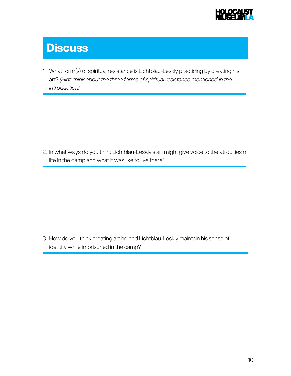

# **Discuss**

1. What form(s) of spiritual resistance is Lichtblau-Leskly practicing by creating his art? *(Hint: think about the three forms of spiritual resistance mentioned in the introduction)*

2. In what ways do you think Lichtblau-Leskly's art might give voice to the atrocities of life in the camp and what it was like to live there?

3. How do you think creating art helped Lichtblau-Leskly maintain his sense of identity while imprisoned in the camp?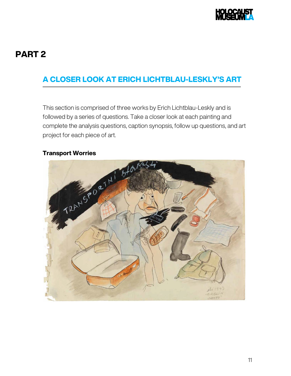

### PART 2

### A CLOSER LOOK AT ERICH LICHTBLAU-LESKLY'S ART

This section is comprised of three works by Erich Lichtblau-Leskly and is followed by a series of questions. Take a closer look at each painting and complete the analysis questions, caption synopsis, follow up questions, and art project for each piece of art.

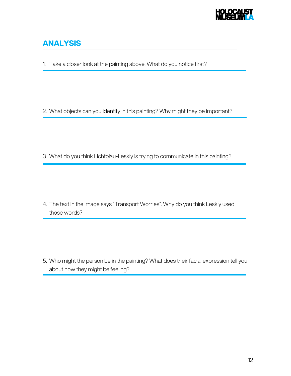

### ANALYSIS

1. Take a closer look at the painting above. What do you notice first?

2. What objects can you identify in this painting? Why might they be important?

3. What do you think Lichtblau-Leskly is trying to communicate in this painting?

4. The text in the image says "Transport Worries". Why do you think Leskly used those words?

5. Who might the person be in the painting? What does their facial expression tell you about how they might be feeling?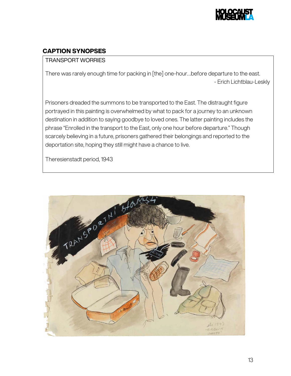

### CAPTION SYNOPSES

#### TRANSPORT WORRIES

There was rarely enough time for packing in [the] one-hour…before departure to the east. - Erich Lichtblau-Leskly

Prisoners dreaded the summons to be transported to the East. The distraught figure portrayed in this painting is overwhelmed by what to pack for a journey to an unknown destination in addition to saying goodbye to loved ones. The latter painting includes the phrase "Enrolled in the transport to the East, only one hour before departure." Though scarcely believing in a future, prisoners gathered their belongings and reported to the deportation site, hoping they still might have a chance to live.

Theresienstadt period, 1943

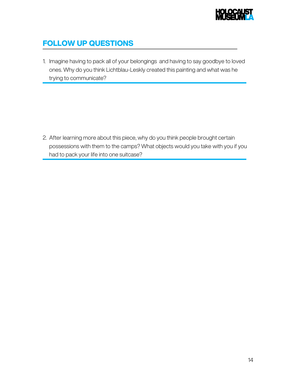

### FOLLOW UP QUESTIONS

1. Imagine having to pack all of your belongings and having to say goodbye to loved ones. Why do you think Lichtblau-Leskly created this painting and what was he trying to communicate?

2. After learning more about this piece, why do you think people brought certain possessions with them to the camps? What objects would you take with you if you had to pack your life into one suitcase?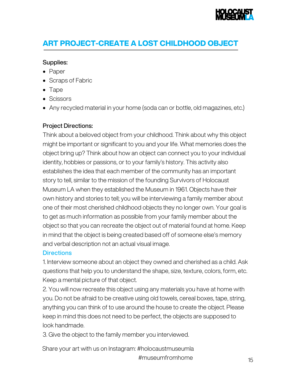

### ART PROJECT-CREATE A LOST CHILDHOOD OBJECT

#### Supplies:

- Paper
- Scraps of Fabric
- Tape
- Scissors
- Any recycled material in your home (soda can or bottle, old magazines, etc.)

#### Project Directions:

Think about a beloved object from your childhood. Think about why this object might be important or significant to you and your life. What memories does the object bring up? Think about how an object can connect you to your individual identity, hobbies or passions, or to your family's history. This activity also establishes the idea that each member of the community has an important story to tell, similar to the mission of the founding Survivors of Holocaust Museum LA when they established the Museum in 1961. Objects have their own history and stories to tell; you will be interviewing a family member about one of their most cherished childhood objects they no longer own. Your goal is to get as much information as possible from your family member about the object so that you can recreate the object out of material found at home. Keep in mind that the object is being created based off of someone else's memory and verbal description not an actual visual image.

#### **Directions**

1. Interview someone about an object they owned and cherished as a child. Ask questions that help you to understand the shape, size, texture, colors, form, etc. Keep a mental picture of that object.

2. You will now recreate this object using any materials you have at home with you. Do not be afraid to be creative using old towels, cereal boxes, tape, string, anything you can think of to use around the house to create the object. Please keep in mind this does not need to be perfect, the objects are supposed to look handmade.

3. Give the object to the family member you interviewed.

Share your art with us on Instagram: #holocaustmuseumla #museumfromhome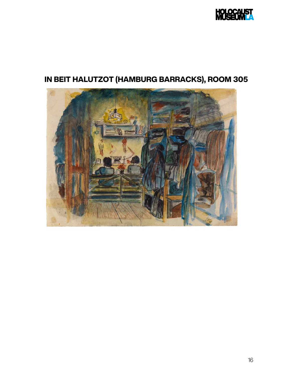

# IN BEIT HALUTZOT (HAMBURG BARRACKS), ROOM 305

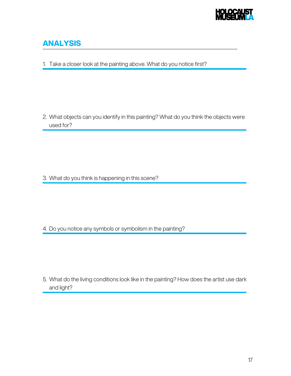

### ANALYSIS

1. Take a closer look at the painting above. What do you notice first?

2. What objects can you identify in this painting? What do you think the objects were used for?

3. What do you think is happening in this scene?

4. Do you notice any symbols or symbolism in the painting?

5. What do the living conditions look like in the painting? How does the artist use dark and light?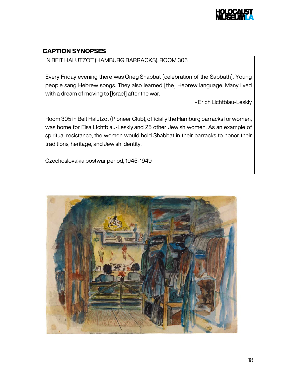

#### CAPTION SYNOPSES

IN BEIT HALUTZOT (HAMBURG BARRACKS), ROOM 305

Every Friday evening there was Oneg Shabbat [celebration of the Sabbath]. Young people sang Hebrew songs. They also learned [the] Hebrew language. Many lived with a dream of moving to [Israel] after the war.

- Erich Lichtblau-Leskly

Room 305 in Beit Halutzot (Pioneer Club), officially the Hamburg barracks for women, was home for Elsa Lichtblau-Leskly and 25 other Jewish women. As an example of spiritual resistance, the women would hold Shabbat in their barracks to honor their traditions, heritage, and Jewish identity.

Czechoslovakia postwar period, 1945-1949

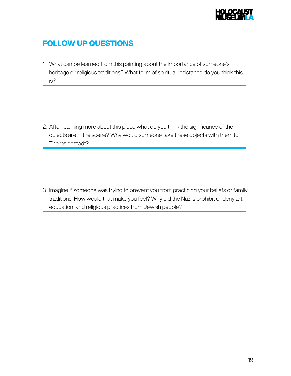

### FOLLOW UP QUESTIONS

1. What can be learned from this painting about the importance of someone's heritage or religious traditions? What form of spiritual resistance do you think this is?

2. After learning more about this piece what do you think the significance of the objects are in the scene? Why would someone take these objects with them to Theresienstadt?

3. Imagine if someone was trying to prevent you from practicing your beliefs or family traditions. How would that make you feel? Why did the Nazi's prohibit or deny art, education, and religious practices from Jewish people?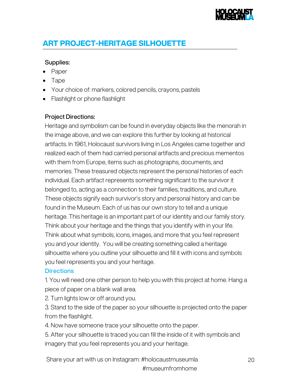

### ART PROJECT-HERITAGE SILHOUETTE

#### Supplies:

- Paper
- Tape
- Your choice of: markers, colored pencils, crayons, pastels
- Flashlight or phone flashlight

#### Project Directions:

Heritage and symbolism can be found in everyday objects like the menorah in the image above, and we can explore this further by looking at historical artifacts. In 1961, Holocaust survivors living in Los Angeles came together and realized each of them had carried personal artifacts and precious mementos with them from Europe, items such as photographs, documents, and memories. These treasured objects represent the personal histories of each individual. Each artifact represents something significant to the survivor it belonged to, acting as a connection to their families, traditions, and culture. These objects signify each survivor's story and personal history and can be found in the Museum. Each of us has our own story to tell and a unique heritage. This heritage is an important part of our identity and our family story. Think about your heritage and the things that you identify with in your life. Think about what symbols, icons, images, and more that you feel represent you and your identity. You will be creating something called a heritage silhouette where you outline your silhouette and fill it with icons and symbols you feel represents you and your heritage.

#### **Directions**

1. You will need one other person to help you with this project at home. Hang a piece of paper on a blank wall area.

2. Turn lights low or off around you.

3. Stand to the side of the paper so your silhouette is projected onto the paper from the flashlight.

4. Now have someone trace your silhouette onto the paper.

5. After your silhouette is traced you can fill the inside of it with symbols and imagery that you feel represents you and your heritage.

Share your art with us on Instagram: #holocaustmuseumla 20 #museumfromhome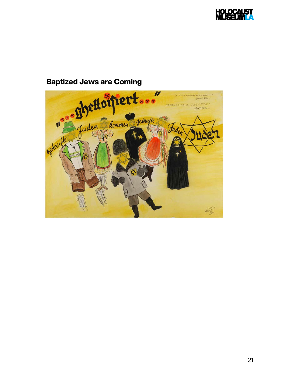

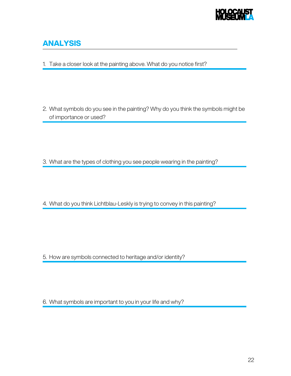

### ANALYSIS

1. Take a closer look at the painting above. What do you notice first?

2. What symbols do you see in the painting? Why do you think the symbols might be of importance or used?

3. What are the types of clothing you see people wearing in the painting?

4. What do you think Lichtblau-Leskly is trying to convey in this painting?

5. How are symbols connected to heritage and/or identity?

6. What symbols are important to you in your life and why?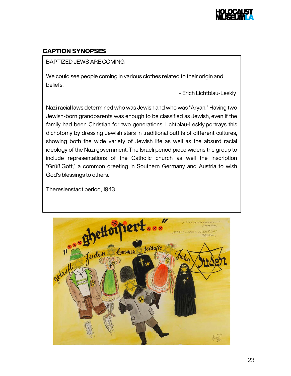

#### CAPTION SYNOPSES

#### BAPTIZED JEWS ARE COMING

We could see people coming in various clothes related to their origin and beliefs.

- Erich Lichtblau-Leskly

Nazi racial laws determined who was Jewish and who was "Aryan." Having two Jewish-born grandparents was enough to be classified as Jewish, even if the family had been Christian for two generations. Lichtblau-Leskly portrays this dichotomy by dressing Jewish stars in traditional outfits of different cultures, showing both the wide variety of Jewish life as well as the absurd racial ideology of the Nazi government. The Israeli period piece widens the group to include representations of the Catholic church as well the inscription "Grüß Gott," a common greeting in Southern Germany and Austria to wish God's blessings to others.

Theresienstadt period, 1943

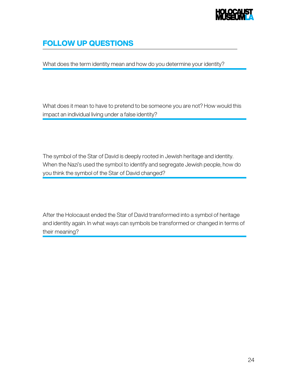

### FOLLOW UP QUESTIONS

What does the term identity mean and how do you determine your identity?

What does it mean to have to pretend to be someone you are not? How would this impact an individual living under a false identity?

The symbol of the Star of David is deeply rooted in Jewish heritage and identity. When the Nazi's used the symbol to identify and segregate Jewish people, how do you think the symbol of the Star of David changed?

After the Holocaust ended the Star of David transformed into a symbol of heritage and identity again. In what ways can symbols be transformed or changed in terms of their meaning?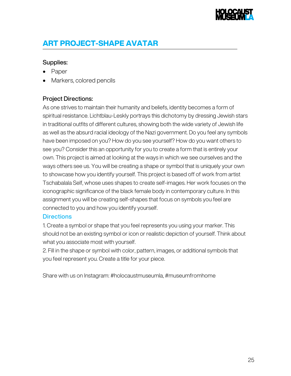## ART PROJECT-SHAPE AVATAR

#### Supplies:

- Paper
- Markers, colored pencils

#### Project Directions:

As one strives to maintain their humanity and beliefs, identity becomes a form of spiritual resistance. Lichtblau-Leskly portrays this dichotomy by dressing Jewish stars in traditional outfits of different cultures, showing both the wide variety of Jewish life as well as the absurd racial ideology of the Nazi government. Do you feel any symbols have been imposed on you? How do you see yourself? How do you want others to see you? Consider this an opportunity for you to create a form that is entirely your own. This project is aimed at looking at the ways in which we see ourselves and the ways others see us. You will be creating a shape or symbol that is uniquely your own to showcase how you identify yourself. This project is based off of work from artist Tschabalala Self, whose uses shapes to create self-images. Her work focuses on the iconographic significance of the black female body in contemporary culture. In this assignment you will be creating self-shapes that focus on symbols you feel are connected to you and how you identify yourself.

#### **Directions**

1. Create a symbol or shape that you feel represents you using your marker. This should not be an existing symbol or icon or realistic depiction of yourself. Think about what you associate most with yourself.

2. Fill in the shape or symbol with color, pattern, images, or additional symbols that you feel represent you. Create a title for your piece.

Share with us on Instagram: #holocaustmuseumla, #museumfromhome